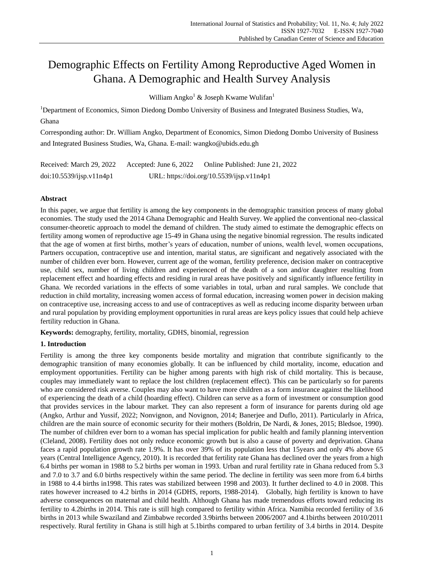# Demographic Effects on Fertility Among Reproductive Aged Women in Ghana. A Demographic and Health Survey Analysis

William Angko<sup>1</sup> & Joseph Kwame Wulifan<sup>1</sup>

<sup>1</sup>Department of Economics, Simon Diedong Dombo University of Business and Integrated Business Studies, Wa, Ghana

Corresponding author: Dr. William Angko, Department of Economics, Simon Diedong Dombo University of Business and Integrated Business Studies, Wa, Ghana. E-mail: wangko@ubids.edu.gh

| Received: March 29, 2022 | Accepted: June $6, 2022$                  | Online Published: June 21, 2022 |  |
|--------------------------|-------------------------------------------|---------------------------------|--|
| doi:10.5539/ijsp.v11n4p1 | URL: https://doi.org/10.5539/ijsp.v11n4p1 |                                 |  |

# **Abstract**

In this paper, we argue that fertility is among the key components in the demographic transition process of many global economies. The study used the 2014 Ghana Demographic and Health Survey. We applied the conventional neo-classical consumer-theoretic approach to model the demand of children. The study aimed to estimate the demographic effects on fertility among women of reproductive age 15-49 in Ghana using the negative binomial regression. The results indicated that the age of women at first births, mother's years of education, number of unions, wealth level, women occupations, Partners occupation, contraceptive use and intention, marital status, are significant and negatively associated with the number of children ever born. However, current age of the woman, fertility preference, decision maker on contraceptive use, child sex, number of living children and experienced of the death of a son and/or daughter resulting from replacement effect and hoarding effects and residing in rural areas have positively and significantly influence fertility in Ghana. We recorded variations in the effects of some variables in total, urban and rural samples. We conclude that reduction in child mortality, increasing women access of formal education, increasing women power in decision making on contraceptive use, increasing access to and use of contraceptives as well as reducing income disparity between urban and rural population by providing employment opportunities in rural areas are keys policy issues that could help achieve fertility reduction in Ghana.

**Keywords:** demography, fertility, mortality, GDHS, binomial, regression

# **1. Introduction**

Fertility is among the three key components beside mortality and migration that contribute significantly to the demographic transition of many economies globally. It can be influenced by child mortality, income, education and employment opportunities. Fertility can be higher among parents with high risk of child mortality. This is because, couples may immediately want to replace the lost children (replacement effect). This can be particularly so for parents who are considered risk averse. Couples may also want to have more children as a form insurance against the likelihood of experiencing the death of a child (hoarding effect). Children can serve as a form of investment or consumption good that provides services in the labour market. They can also represent a form of insurance for parents during old age (Angko, Arthur and Yussif, 2022; Nonvignon, and Novignon, 2014; Banerjee and Duflo, 2011). Particularly in Africa, children are the main source of economic security for their mothers (Boldrin, De Nardi, & Jones, 2015; Bledsoe, 1990). The number of children ever born to a woman has special implication for public health and family planning intervention (Cleland, 2008). Fertility does not only reduce economic growth but is also a cause of poverty and deprivation. Ghana faces a rapid population growth rate 1.9%. It has over 39% of its population less that 15years and only 4% above 65 years (Central Intelligence Agency, 2010). It is recorded that fertility rate Ghana has declined over the years from a high 6.4 births per woman in 1988 to 5.2 births per woman in 1993. Urban and rural fertility rate in Ghana reduced from 5.3 and 7.0 to 3.7 and 6.0 births respectively within the same period. The decline in fertility was seen more from 6.4 births in 1988 to 4.4 births in1998. This rates was stabilized between 1998 and 2003). It further declined to 4.0 in 2008. This rates however increased to 4.2 births in 2014 (GDHS, reports, 1988-2014). Globally, high fertility is known to have adverse consequences on maternal and child health. Although Ghana has made tremendous efforts toward reducing its fertility to 4.2births in 2014. This rate is still high compared to fertility within Africa. Namibia recorded fertility of 3.6 births in 2013 while Swaziland and Zimbabwe recorded 3.9births between 2006/2007 and 4.1births between 2010/2011 respectively. Rural fertility in Ghana is still high at 5.1births compared to urban fertility of 3.4 births in 2014. Despite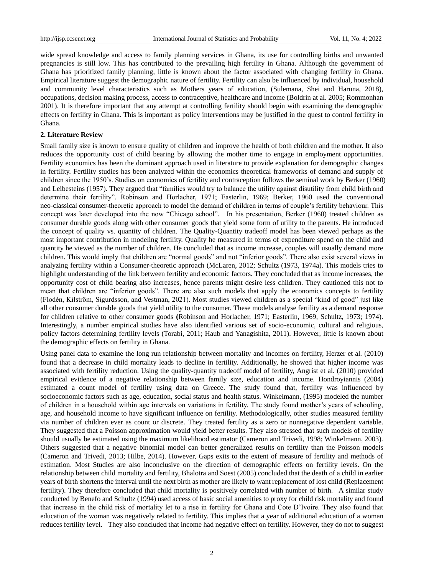wide spread knowledge and access to family planning services in Ghana, its use for controlling births and unwanted pregnancies is still low. This has contributed to the prevailing high fertility in Ghana. Although the government of Ghana has prioritized family planning, little is known about the factor associated with changing fertility in Ghana. Empirical literature suggest the demographic nature of fertility. Fertility can also be influenced by individual, household and community level characteristics such as Mothers years of education, (Sulemana, Shei and Haruna, 2018), occupations, decision making process, access to contraceptive, healthcare and income (Boldrin at al. 2005; Rommonhan 2001). It is therefore important that any attempt at controlling fertility should begin with examining the demographic effects on fertility in Ghana. This is important as policy interventions may be justified in the quest to control fertility in Ghana.

#### **2. Literature Review**

Small family size is known to ensure quality of children and improve the health of both children and the mother. It also reduces the opportunity cost of child bearing by allowing the mother time to engage in employment opportunities. Fertility economics has been the dominant approach used in literature to provide explanation for demographic changes in fertility. Fertility studies has been analyzed within the economics theoretical frameworks of demand and supply of children since the 1950's. Studies on economics of fertility and contraception follows the seminal work by Berker (1960) and Leibesteins (1957). They argued that "families would try to balance the utility against disutility from child birth and determine their fertility". Robinson and Horlacher, 1971; Easterlin, 1969; Berker, 1960 used the conventional neo-classical consumer-theoretic approach to model the demand of children in terms of couple's fertility behaviour. This concept was later developed into the now "Chicago school". In his presentation, Berker (1960) treated children as consumer durable goods along with other consumer goods that yield some form of utility to the parents. He introduced the concept of quality vs. quantity of children. The Quality-Quantity tradeoff model has been viewed perhaps as the most important contribution in modeling fertility. Quality he measured in terms of expenditure spend on the child and quantity he viewed as the number of children. He concluded that as income increase, couples will usually demand more children. This would imply that children are "normal goods" and not "inferior goods". There also exist several views in analyzing fertility within a Consumer-theoretic approach (McLaren, 2012; Schultz (1973, 1974a). This models tries to highlight understanding of the link between fertility and economic factors. They concluded that as income increases, the opportunity cost of child bearing also increases, hence parents might desire less children. They cautioned this not to mean that children are "inferior goods". There are also such models that apply the economics concepts to fertility (Flodén, Kilström, Sigurdsson, and Vestman, 2021). Most studies viewed children as a special "kind of good" just like all other consumer durable goods that yield utility to the consumer. These models analyse fertility as a demand response for children relative to other consumer goods **(**Robinson and Horlacher, 1971; Easterlin, 1969, Schultz, 1973; 1974). Interestingly, a number empirical studies have also identified various set of socio-economic, cultural and religious, policy factors determining fertility levels (Torabi, 2011; Haub and Yanagishita, 2011). However, little is known about the demographic effects on fertility in Ghana.

Using panel data to examine the long run relationship between mortality and incomes on fertility, Herzer et al. (2010) found that a decrease in child mortality leads to decline in fertility. Additionally, he showed that higher income was associated with fertility reduction. Using the quality-quantity tradeoff model of fertility, Angrist et al. (2010) provided empirical evidence of a negative relationship between family size, education and income. Hondroyiannis (2004) estimated a count model of fertility using data on Greece. The study found that, fertility was influenced by socioeconomic factors such as age, education, social status and health status. Winkelmann, (1995) modeled the number of children in a household within age intervals on variations in fertility. The study found mother's years of schooling, age, and household income to have significant influence on fertility. Methodologically, other studies measured fertility via number of children ever as count or discrete. They treated fertility as a zero or nonnegative dependent variable. They suggested that a Poisson approximation would yield better results. They also stressed that such models of fertility should usually be estimated using the maximum likelihood estimator (Cameron and Trivedi, 1998; Winkelmann, 2003). Others suggested that a negative binomial model can better generalized results on fertility than the Poisson models (Cameron and Trivedi, 2013; Hilbe, 2014). However, Gaps exits to the extent of measure of fertility and methods of estimation. Most Studies are also inconclusive on the direction of demographic effects on fertility levels. On the relationship between child mortality and fertility, Bhalotra and Soest (2005) concluded that the death of a child in earlier years of birth shortens the interval until the next birth as mother are likely to want replacement of lost child (Replacement fertility). They therefore concluded that child mortality is positively correlated with number of birth. A similar study conducted by Benefo and Schultz (1994) used access of basic social amenities to proxy for child risk mortality and found that increase in the child risk of mortality let to a rise in fertility for Ghana and Cote D'Ivoire. They also found that education of the woman was negatively related to fertility. This implies that a year of additional education of a woman reduces fertility level. They also concluded that income had negative effect on fertility. However, they do not to suggest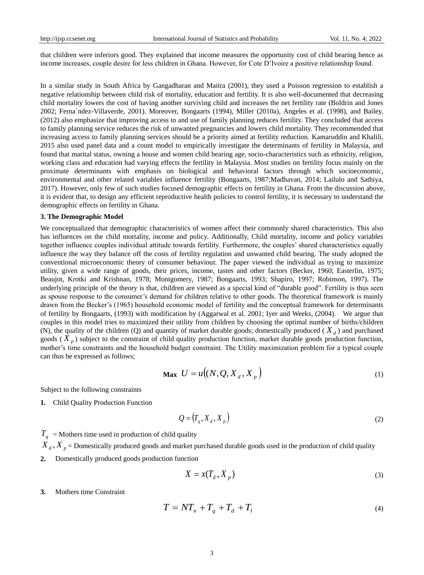that children were inferiors good. They explained that income measures the opportunity cost of child bearing hence as income increases, couple desire for less children in Ghana. However, for Cote D'Ivoire a positive relationship found.

In a similar study in South Africa by Gangadharan and Maitra (2001), they used a Poisson regression to establish a negative relationship between child risk of mortality, education and fertility. It is also well-documented that decreasing child mortality lowers the cost of having another surviving child and increases the net fertility rate (Boldrin and Jones 2002; Ferna´ndez-Villaverde, 2001). Moreover, Bongaarts (1994), Miller (2010a), Angeles et al. (1998), and Bailey, (2012) also emphasize that improving access to and use of family planning reduces fertility. They concluded that access to family planning service reduces the risk of unwanted pregnancies and lowers child mortality. They recommended that increasing access to family planning services should be a priority aimed at fertility reduction. Kamaruddin and Khalili, 2015 also used panel data and a count model to empirically investigate the determinants of fertility in Malaysia, and found that marital status, owning a house and women child bearing age, socio-characteristics such as ethnicity, religion, working class and education had varying effects the fertility in Malaysia. Most studies on fertility focus mainly on the proximate determinants with emphasis on biological and behavioral factors through which socioeconomic, environmental and other related variables influence fertility (Bongaarts, 1987;Madhavan, 2014; Lailulo and Sathiya, 2017). However, only few of such studies focused demographic effects on fertility in Ghana. From the discussion above, it is evident that, to design any efficient reproductive health policies to control fertility, it is necessary to understand the demographic effects on fertility in Ghana.

#### **3. The Demographic Model**

We conceptualized that demographic characteristics of women affect their commonly shared characteristics. This also has influences on the child mortality, income and policy. Additionally, Child mortality, income and policy variables together influence couples individual attitude towards fertility. Furthermore, the couples' shared characteristics equally influence the way they balance off the costs of fertility regulation and unwanted child bearing. The study adopted the conventional microeconomic theory of consumer behaviour. The paper viewed the individual as trying to maximize utility, given a wide range of goods, their prices, income, tastes and other factors (Becker, 1960; Easterlin, 1975; Beaujot, Krotki and Krishnan, 1978; Montgomery, 1987; Bongaarts, 1993; Shapiro, 1997; Robinson, 1997). The underlying principle of the theory is that, children are viewed as a special kind of "durable good". Fertility is thus seen as spouse response to the consumer's demand for children relative to other goods. The theoretical framework is mainly drawn from the Becker's (1965) household economic model of fertility and the conceptual framework for determinants of fertility by Bongaarts, (1993) with modification by (Aggarwal et al. 2001; Iyer and Weeks, (2004). We argue that couples in this model tries to maximized their utility from children by choosing the optimal number of births/children (N), the quality of the children (Q) and quantity of market durable goods; domestically produced ( $X_d$ ) and purchased goods  $(\hat{X}_p)$  subject to the constraint of child quality production function, market durable goods production function, mother's time constraints and the household budget constraint. The Utility maximization problem for a typical couple can thus be expressed as follows;

$$
\mathbf{Max} \ \ U = u\big((N, Q, X_d, X_p\big) \tag{1}
$$

Subject to the following constraints

**1.** Child Quality Production Function

$$
Q = (T_q, X_d, X_p) \tag{2}
$$

 $T_q$  = Mothers time used in production of child quality

- ${X}_d$  ,  ${X}_p$  = Domestically produced goods and market purchased durable goods used in the production of child quality
- **2.** Domestically produced goods production function

$$
X = x(T_d, X_p) \tag{3}
$$

**3.** Mothers time Constraint

$$
T = NTn + Tq + Td + Tl
$$
\n(4)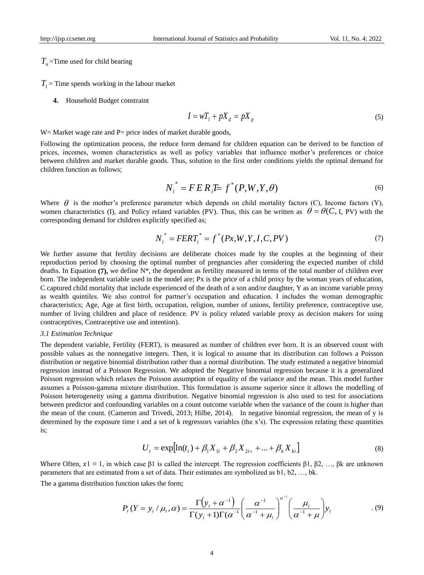$T<sub>n</sub>$  =Time used for child bearing

 $T_l$  = Time spends working in the labour market

**4.** Household Budget constraint

$$
I = wT_t + pX_d = pX_p \tag{5}
$$

 $W=$  Market wage rate and P= price index of market durable goods,

Following the optimization process, the reduce form demand for children equation can be derived to be function of prices, incomes, women characteristics as well as policy variables that influence mother's preferences or choice between children and market durable goods. Thus, solution to the first order conditions yields the optimal demand for children function as follows;

$$
N_i^* = F E R_i E = f^*(P, W, Y, \theta)
$$
\n(6)

Where  $\theta$  is the mother's preference parameter which depends on child mortality factors (C), Income factors (Y), women characteristics (I), and Policy related variables (PV). Thus, this can be written as  $\theta = \theta(C, I, PV)$  with the corresponding demand for children explicitly specified as;

$$
N_i^* = FERT_i^* = f^*(Px, W, Y, I, C, PV)
$$
\n(7)

We further assume that fertility decisions are deliberate choices made by the couples at the beginning of their reproduction period by choosing the optimal number of pregnancies after considering the expected number of child deaths. In Equation **(7),** we define N\*, the dependent as fertility measured in terms of the total number of children ever born. The independent variable used in the model are; Px is the price of a child proxy by the woman years of education, C captured child mortality that include experienced of the death of a son and/or daughter, Y as an income variable proxy as wealth quintiles. We also control for partner's occupation and education. I includes the woman demographic characteristics; Age, Age at first birth, occupation, religion, number of unions, fertility preference, contraceptive use, number of living children and place of residence. PV is policy related variable proxy as decision makers for using contraceptives, Contraceptive use and intention).

#### *3.1 Estimation Technique*

The dependent variable, Fertility (FERT), is measured as number of children ever born. It is an observed count with possible values as the nonnegative integers. Then, it is logical to assume that its distribution can follows a Poisson distribution or negative binomial distribution rather than a normal distribution. The study estimated a negative binomial regression instead of a Poisson Regression. We adopted the Negative binomial regression because it is a generalized Poisson regression which relaxes the Poisson assumption of equality of the variance and the mean. This model further assumes a Poisson-gamma mixture distribution. This formulation is assume superior since it allows the modelling of Poisson heterogeneity using a gamma distribution. Negative binomial regression is also used to test for associations between predictor and confounding variables on a count outcome variable when the variance of the count is higher than the mean of the count. (Cameron and Trivedi, 2013; Hilbe, 2014). In negative binomial regression, the mean of y is determined by the exposure time t and a set of k regressors variables (the x's). The expression relating these quantities is;

$$
U_{t} = \exp\left[\ln(t_{i}) + \beta_{1}X_{1i} + \beta_{2}X_{2i+} + \ldots + \beta_{k}X_{ki}\right]
$$
\n(8)

Where Often,  $x_1 \equiv 1$ , in which case  $\beta_1$  is called the intercept. The regression coefficients  $\beta_1, \beta_2, \ldots, \beta_k$  are unknown parameters that are estimated from a set of data. Their estimates are symbolized as b1, b2, …, bk.

The a gamma distribution function takes the form;

$$
P_r(Y = y_i / \mu_i, \alpha) = \frac{\Gamma(y_i + \alpha^{-1})}{\Gamma(y_i + 1)\Gamma(\alpha^{-1})} \left(\frac{\alpha^{-1}}{\alpha^{-1} + \mu_i}\right)^{\alpha^{-1}} \left(\frac{\mu_i}{\alpha^{-1} + \mu_i}\right) y_i
$$
(9)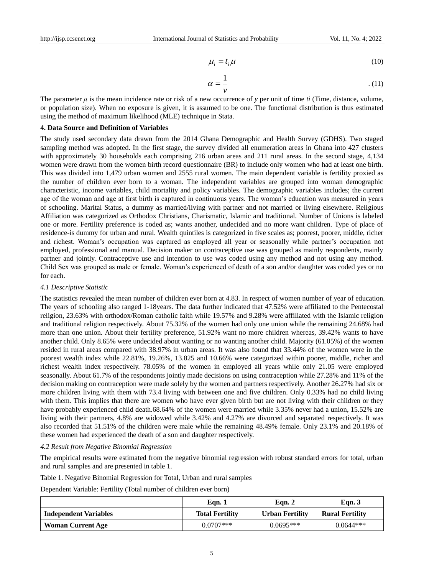$$
\mu_i = t_i \mu \tag{10}
$$

$$
\alpha = \frac{1}{\nu} \tag{11}
$$

The parameter  $\mu$  is the mean incidence rate or risk of a new occurrence of  $\gamma$  per unit of time *ti* (Time, distance, volume, or population size). When no exposure is given, it is assumed to be one. The functional distribution is thus estimated using the method of maximum likelihood (MLE) technique in Stata.

#### **4. Data Source and Definition of Variables**

The study used secondary data drawn from the 2014 Ghana Demographic and Health Survey (GDHS). Two staged sampling method was adopted. In the first stage, the survey divided all enumeration areas in Ghana into 427 clusters with approximately 30 households each comprising 216 urban areas and 211 rural areas. In the second stage, 4,134 women were drawn from the women birth record questionnaire (BR) to include only women who had at least one birth. This was divided into 1,479 urban women and 2555 rural women. The main dependent variable is fertility proxied as the number of children ever born to a woman. The independent variables are grouped into woman demographic characteristic, income variables, child mortality and policy variables. The demographic variables includes; the current age of the woman and age at first birth is captured in continuous years. The woman's education was measured in years of schooling. Marital Status, a dummy as married/living with partner and not married or living elsewhere. Religious Affiliation was categorized as Orthodox Christians, Charismatic, Islamic and traditional. Number of Unions is labeled one or more. Fertility preference is coded as; wants another, undecided and no more want children. Type of place of residence-is dummy for urban and rural. Wealth quintiles is categorized in five scales as; poorest, poorer, middle, richer and richest. Woman's occupation was captured as employed all year or seasonally while partner's occupation not employed, professional and manual. Decision maker on contraceptive use was grouped as mainly respondents, mainly partner and jointly. Contraceptive use and intention to use was coded using any method and not using any method. Child Sex was grouped as male or female. Woman's experienced of death of a son and/or daughter was coded yes or no for each.

#### *4.1 Descriptive Statistic*

The statistics revealed the mean number of children ever born at 4.83. In respect of women number of year of education. The years of schooling also ranged 1-18years. The data further indicated that 47.52% were affiliated to the Pentecostal religion, 23.63% with orthodox/Roman catholic faith while 19.57% and 9.28% were affiliated with the Islamic religion and traditional religion respectively. About 75.32% of the women had only one union while the remaining 24.68% had more than one union. About their fertility preference, 51.92% want no more children whereas, 39.42% wants to have another child. Only 8.65% were undecided about wanting or no wanting another child. Majority (61.05%) of the women resided in rural areas compared with 38.97% in urban areas. It was also found that 33.44% of the women were in the poorest wealth index while 22.81%, 19.26%, 13.825 and 10.66% were categorized within poorer, middle, richer and richest wealth index respectively. 78.05% of the women in employed all years while only 21.05 were employed seasonally. About 61.7% of the respondents jointly made decisions on using contraception while 27.28% and 11% of the decision making on contraception were made solely by the women and partners respectively. Another 26.27% had six or more children living with them with 73.4 living with between one and five children. Only 0.33% had no child living with them. This implies that there are women who have ever given birth but are not living with their children or they have probably experienced child death.68.64% of the women were married while 3.35% never had a union, 15.52% are living with their partners, 4.8% are widowed while 3.42% and 4.27% are divorced and separated respectively. It was also recorded that 51.51% of the children were male while the remaining 48.49% female. Only 23.1% and 20.18% of these women had experienced the death of a son and daughter respectively.

#### *4.2 Result from Negative Binomial Regression*

The empirical results were estimated from the negative binomial regression with robust standard errors for total, urban and rural samples and are presented in table 1.

Table 1. Negative Binomial Regression for Total, Urban and rural samples

Dependent Variable: Fertility (Total number of children ever born)

|                              | Eqn.1                  | Eqn. 2                 | Eqn. $3$               |
|------------------------------|------------------------|------------------------|------------------------|
| <b>Independent Variables</b> | <b>Total Fertility</b> | <b>Urban Fertility</b> | <b>Rural Fertility</b> |
| <b>Woman Current Age</b>     | $0.0707$ ***           | $0.0695***$            | $0.0644***$            |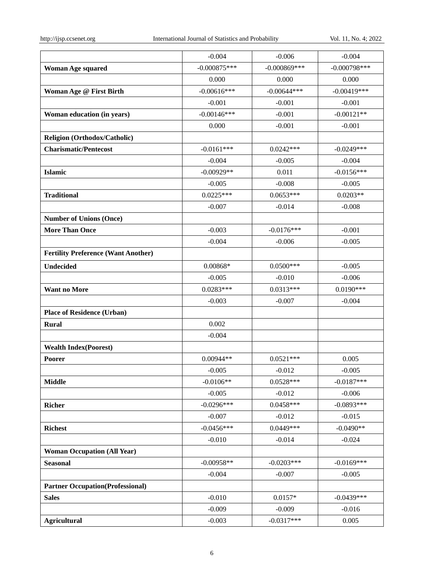|                                            | $-0.004$       | $-0.006$       | $-0.004$       |
|--------------------------------------------|----------------|----------------|----------------|
| <b>Woman Age squared</b>                   | $-0.000875***$ | $-0.000869***$ | $-0.000798***$ |
|                                            | 0.000          | 0.000          | 0.000          |
| Woman Age @ First Birth                    | $-0.00616***$  | $-0.00644***$  | $-0.00419***$  |
|                                            | $-0.001$       | $-0.001$       | $-0.001$       |
| Woman education (in years)                 | $-0.00146$ *** | $-0.001$       | $-0.00121**$   |
|                                            | 0.000          | $-0.001$       | $-0.001$       |
| <b>Religion (Orthodox/Catholic)</b>        |                |                |                |
| <b>Charismatic/Pentecost</b>               | $-0.0161***$   | $0.0242***$    | $-0.0249***$   |
|                                            | $-0.004$       | $-0.005$       | $-0.004$       |
| <b>Islamic</b>                             | $-0.00929**$   | 0.011          | $-0.0156***$   |
|                                            | $-0.005$       | $-0.008$       | $-0.005$       |
| <b>Traditional</b>                         | $0.0225***$    | $0.0653***$    | $0.0203**$     |
|                                            | $-0.007$       | $-0.014$       | $-0.008$       |
| <b>Number of Unions (Once)</b>             |                |                |                |
| <b>More Than Once</b>                      | $-0.003$       | $-0.0176***$   | $-0.001$       |
|                                            | $-0.004$       | $-0.006$       | $-0.005$       |
| <b>Fertility Preference (Want Another)</b> |                |                |                |
| <b>Undecided</b>                           | $0.00868*$     | $0.0500***$    | $-0.005$       |
|                                            | $-0.005$       | $-0.010$       | $-0.006$       |
| <b>Want no More</b>                        | $0.0283***$    | $0.0313***$    | $0.0190***$    |
|                                            | $-0.003$       | $-0.007$       | $-0.004$       |
| <b>Place of Residence (Urban)</b>          |                |                |                |
| <b>Rural</b>                               | 0.002          |                |                |
|                                            | $-0.004$       |                |                |
| <b>Wealth Index(Poorest)</b>               |                |                |                |
| Poorer                                     | $0.00944**$    | $0.0521***$    | 0.005          |
|                                            | $-0.005$       | $-0.012$       | $-0.005$       |
| <b>Middle</b>                              | $-0.0106**$    | $0.0528***$    | $-0.0187***$   |
|                                            | $-0.005$       | $-0.012$       | $-0.006$       |
| <b>Richer</b>                              | $-0.0296***$   | $0.0458***$    | $-0.0893***$   |
|                                            | $-0.007$       | $-0.012$       | $-0.015$       |
| <b>Richest</b>                             | $-0.0456***$   | $0.0449***$    | $-0.0490**$    |
|                                            | $-0.010$       | $-0.014$       | $-0.024$       |
| <b>Woman Occupation (All Year)</b>         |                |                |                |
| <b>Seasonal</b>                            | $-0.00958**$   | $-0.0203***$   | $-0.0169***$   |
|                                            | $-0.004$       | $-0.007$       | $-0.005$       |
| <b>Partner Occupation(Professional)</b>    |                |                |                |
| <b>Sales</b>                               | $-0.010$       | $0.0157*$      | $-0.0439***$   |
|                                            | $-0.009$       | $-0.009$       | $-0.016$       |
| <b>Agricultural</b>                        | $-0.003$       | $-0.0317***$   | 0.005          |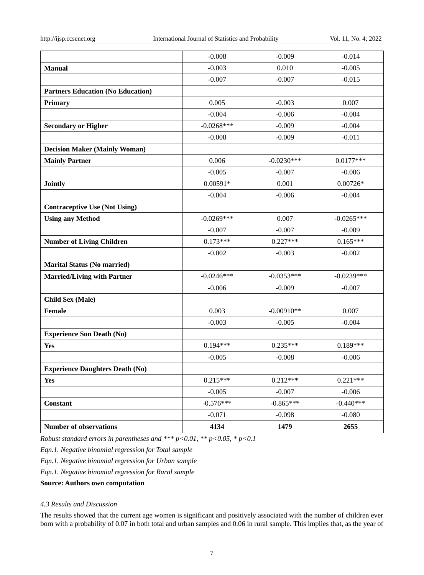|                                          | $-0.008$     | $-0.009$     | $-0.014$     |
|------------------------------------------|--------------|--------------|--------------|
| <b>Manual</b>                            | $-0.003$     | 0.010        | $-0.005$     |
|                                          | $-0.007$     | $-0.007$     | $-0.015$     |
| <b>Partners Education (No Education)</b> |              |              |              |
| Primary                                  | 0.005        | $-0.003$     | 0.007        |
|                                          | $-0.004$     | $-0.006$     | $-0.004$     |
| <b>Secondary or Higher</b>               | $-0.0268***$ | $-0.009$     | $-0.004$     |
|                                          | $-0.008$     | $-0.009$     | $-0.011$     |
| <b>Decision Maker (Mainly Woman)</b>     |              |              |              |
| <b>Mainly Partner</b>                    | 0.006        | $-0.0230***$ | $0.0177***$  |
|                                          | $-0.005$     | $-0.007$     | $-0.006$     |
| <b>Jointly</b>                           | $0.00591*$   | 0.001        | $0.00726*$   |
|                                          | $-0.004$     | $-0.006$     | $-0.004$     |
| <b>Contraceptive Use (Not Using)</b>     |              |              |              |
| <b>Using any Method</b>                  | $-0.0269***$ | 0.007        | $-0.0265***$ |
|                                          | $-0.007$     | $-0.007$     | $-0.009$     |
| <b>Number of Living Children</b>         | $0.173***$   | $0.227***$   | $0.165***$   |
|                                          | $-0.002$     | $-0.003$     | $-0.002$     |
| <b>Marital Status (No married)</b>       |              |              |              |
| <b>Married/Living with Partner</b>       | $-0.0246***$ | $-0.0353***$ | $-0.0239***$ |
|                                          | $-0.006$     | $-0.009$     | $-0.007$     |
| <b>Child Sex (Male)</b>                  |              |              |              |
| <b>Female</b>                            | 0.003        | $-0.00910**$ | 0.007        |
|                                          | $-0.003$     | $-0.005$     | $-0.004$     |
| <b>Experience Son Death (No)</b>         |              |              |              |
| <b>Yes</b>                               | $0.194***$   | $0.235***$   | $0.189***$   |
|                                          | $-0.005$     | $-0.008$     | $-0.006$     |
| <b>Experience Daughters Death (No)</b>   |              |              |              |
| <b>Yes</b>                               | $0.215***$   | $0.212***$   | $0.221***$   |
|                                          | $-0.005$     | $-0.007$     | $-0.006$     |
| Constant                                 | $-0.576***$  | $-0.865***$  | $-0.440***$  |
|                                          | $-0.071$     | $-0.098$     | $-0.080$     |
| <b>Number of observations</b>            | 4134         | 1479         | 2655         |

*Robust standard errors in parentheses and \*\*\* p<0.01, \*\* p<0.05, \* p<0.1* 

*Eqn.1. Negative binomial regression for Total sample*

*Eqn.1. Negative binomial regression for Urban sample*

*Eqn.1. Negative binomial regression for Rural sample*

**Source: Authors own computation**

# *4.3 Results and Discussion*

The results showed that the current age women is significant and positively associated with the number of children ever born with a probability of 0.07 in both total and urban samples and 0.06 in rural sample. This implies that, as the year of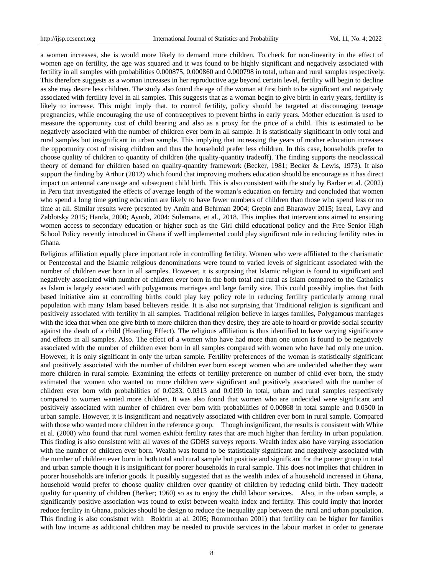a women increases, she is would more likely to demand more children. To check for non-linearity in the effect of women age on fertility, the age was squared and it was found to be highly significant and negatively associated with fertility in all samples with probabilities 0.000875, 0.000860 and 0.000798 in total, urban and rural samples respectively. This therefore suggests as a woman increases in her reproductive age beyond certain level, fertility will begin to decline as she may desire less children. The study also found the age of the woman at first birth to be significant and negatively associated with fertility level in all samples. This suggests that as a woman begin to give birth in early years, fertility is likely to increase. This might imply that, to control fertility, policy should be targeted at discouraging teenage pregnancies, while encouraging the use of contraceptives to prevent births in early years. Mother education is used to measure the opportunity cost of child bearing and also as a proxy for the price of a child. This is estimated to be negatively associated with the number of children ever born in all sample. It is statistically significant in only total and rural samples but insignificant in urban sample. This implying that increasing the years of mother education increases the opportunity cost of raising children and thus the household prefer less children. In this case, households prefer to choose quality of children to quantity of children (the quality-quantity tradeoff). The finding supports the neoclassical theory of demand for children based on quality-quantity framework (Becker, 1981; Becker & Lewis, 1973). It also support the finding by Arthur (2012) which found that improving mothers education should be encourage as it has direct impact on antennal care usage and subsequent child birth. This is also consistent with the study by Barber et al. (2002) in Peru that investigated the effects of average length of the woman's education on fertility and concluded that women who spend a long time getting education are likely to have fewer numbers of children than those who spend less or no time at all. Similar results were presented by Amin and Behrman 2004; Grepin and Bharaway 2015; Isreal, Lavy and Zablotsky 2015; Handa, 2000; Ayuob, 2004; Sulemana, et al., 2018. This implies that interventions aimed to ensuring women access to secondary education or higher such as the Girl child educational policy and the Free Senior High School Policy recently introduced in Ghana if well implemented could play significant role in reducing fertility rates in Ghana.

Religious affiliation equally place important role in controlling fertility. Women who were affiliated to the charismatic or Pentecostal and the Islamic religious denominations were found to varied levels of significant associated with the number of children ever born in all samples. However, it is surprising that Islamic religion is found to significant and negatively associated with number of children ever born in the both total and rural as Islam compared to the Catholics as Islam is largely associated with polygamous marriages and large family size. This could possibly implies that faith based initiative aim at controlling births could play key policy role in reducing fertility particularly among rural population with many Islam based believers reside. It is also not surprising that Traditional religion is significant and positively associated with fertility in all samples. Traditional religion believe in larges families, Polygamous marriages with the idea that when one give birth to more children than they desire, they are able to hoard or provide social security against the death of a child (Hoarding Effect). The religious affiliation is thus identified to have varying significance and effects in all samples. Also. The effect of a women who have had more than one union is found to be negatively associated with the number of children ever born in all samples compared with women who have had only one union. However, it is only significant in only the urban sample. Fertility preferences of the woman is statistically significant and positively associated with the number of children ever born except women who are undecided whether they want more children in rural sample. Examining the effects of fertility preference on number of child ever born, the study estimated that women who wanted no more children were significant and positively associated with the number of children ever born with probabilities of 0.0283, 0.0313 and 0.0190 in total, urban and rural samples respectively compared to women wanted more children. It was also found that women who are undecided were significant and positively associated with number of children ever born with probabilities of 0.00868 in total sample and 0.0500 in urban sample. However, it is insignificant and negatively associated with children ever born in rural sample. Compared with those who wanted more children in the reference group. Though insignificant, the results is consistent with White et al. (2008) who found that rural women exhibit fertility rates that are much higher than fertility in urban population. This finding is also consistent with all waves of the GDHS surveys reports. Wealth index also have varying association with the number of children ever born. Wealth was found to be statistically significant and negatively associated with the number of children ever born in both total and rural sample but positive and significant for the poorer group in total and urban sample though it is insignificant for poorer households in rural sample. This does not implies that children in poorer households are inferior goods. It possibly suggested that as the wealth index of a household increased in Ghana, household would prefer to choose quality children over quantity of children by reducing child birth. They tradeoff quality for quantity of children (Berker; 1960) so as to enjoy the child labour services. Also, in the urban sample, a significantly positive association was found to exist between wealth index and fertility. This could imply that inorder reduce fertility in Ghana, policies should be design to reduce the inequality gap between the rural and urban population. This finding is also consistnet with Boldrin at al. 2005; Rommonhan 2001) that fertility can be higher for families with low income as additional children may be needed to provide services in the labour market in order to generate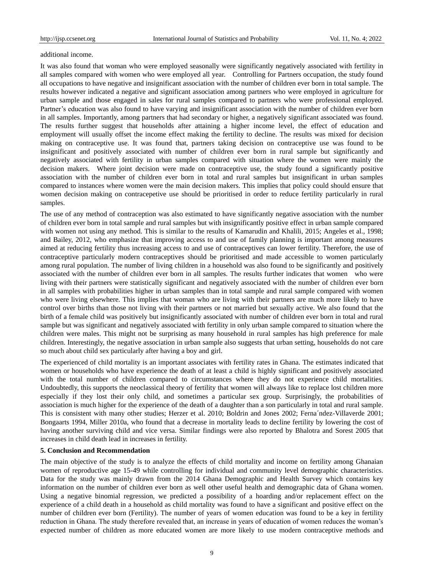#### additional income.

It was also found that woman who were employed seasonally were significantly negatively associated with fertility in all samples compared with women who were employed all year. Controlling for Partners occupation, the study found all occupations to have negative and insignificant association with the number of children ever born in total sample. The results however indicated a negative and significant association among partners who were employed in agriculture for urban sample and those engaged in sales for rural samples compared to partners who were professional employed. Partner's education was also found to have varying and insignificant association with the number of children ever born in all samples. Importantly, among partners that had secondary or higher, a negatively significant associated was found. The results further suggest that households after attaining a higher income level, the effect of education and employment will usually offset the income effect making the fertility to decline. The results was mixed for decision making on contraceptive use. It was found that, partners taking decision on contraceptive use was found to be insignificant and positively associated with number of children ever born in rural sample but significantly and negatively associated with fertility in urban samples compared with situation where the women were mainly the decision makers. Where joint decision were made on contraceptive use, the study found a significantly positive association with the number of children ever born in total and rural samples but insignificant in urban samples compared to instances where women were the main decision makers. This implies that policy could should ensure that women decision making on contracepetive use should be prioritised in order to reduce fertility particularly in rural samples.

The use of any method of contraception was also estimated to have significantly negative association with the number of children ever born in total sample and rural samples but with insignificantly positive effect in urban sample compared with women not using any method. This is similar to the results of Kamarudin and Khalili, 2015; Angeles et al., 1998; and Bailey, 2012, who emphasize that improving access to and use of family planning is important among measures aimed at reducing fertility thus increasing access to and use of contraceptives can lower fertility. Therefore, the use of contraceptive particularly modern contraceptives should be prioritised and made accessible to women particularly among rural population. The number of living children in a household was also found to be significantly and positively associated with the number of children ever born in all samples. The results further indicates that women who were living with their partners were statistically significant and negatively associated with the number of children ever born in all samples with probabilities higher in urban samples than in total sample and rural sample compared with women who were living elsewhere. This implies that woman who are living with their partners are much more likely to have control over births than those not living with their partners or not married but sexually active. We also found that the birth of a female child was positively but insignificantly associated with number of children ever born in total and rural sample but was significant and negatively associated with fertility in only urban sample compared to situation where the children were males. This might not be surprising as many household in rural samples has high preference for male children. Interestingly, the negative association in urban sample also suggests that urban setting, households do not care so much about child sex particularly after having a boy and girl.

The experienced of child mortality is an important associates with fertility rates in Ghana. The estimates indicated that women or households who have experience the death of at least a child is highly significant and positively associated with the total number of children compared to circumstances where they do not experience child mortalities. Undoubtedly, this supports the neoclassical theory of fertility that women will always like to replace lost children more especially if they lost their only child, and sometimes a particular sex group. Surprisingly, the probabilities of association is much higher for the experience of the death of a daughter than a son particularly in total and rural sample. This is consistent with many other studies; Herzer et al. 2010; Boldrin and Jones 2002; Ferna´ndez-Villaverde 2001; Bongaarts 1994, Miller 2010a, who found that a decrease in mortality leads to decline fertility by lowering the cost of having another surviving child and vice versa. Similar findings were also reported by Bhalotra and Sorest 2005 that increases in child death lead in increases in fertility.

#### **5. Conclusion and Recommendation**

The main objective of the study is to analyze the effects of child mortality and income on fertility among Ghanaian women of reproductive age 15-49 while controlling for individual and community level demographic characteristics. Data for the study was mainly drawn from the 2014 Ghana Demographic and Health Survey which contains key information on the number of children ever born as well other useful health and demographic data of Ghana women. Using a negative binomial regression, we predicted a possibility of a hoarding and/or replacement effect on the experience of a child death in a household as child mortality was found to have a significant and positive effect on the number of children ever born (Fertility). The number of years of women education was found to be a key in fertility reduction in Ghana. The study therefore revealed that, an increase in years of education of women reduces the woman's expected number of children as more educated women are more likely to use modern contraceptive methods and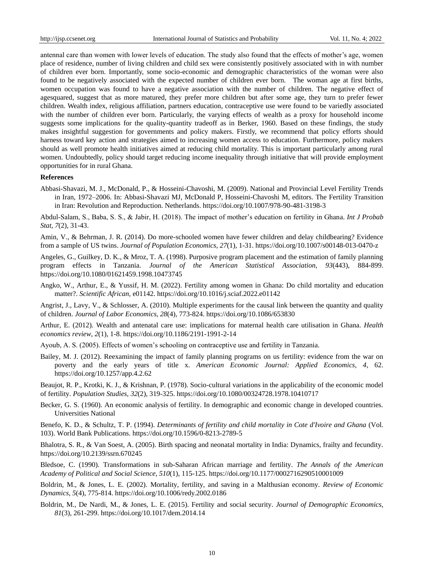antennal care than women with lower levels of education. The study also found that the effects of mother's age, women place of residence, number of living children and child sex were consistently positively associated with in with number of children ever born. Importantly, some socio-economic and demographic characteristics of the woman were also found to be negatively associated with the expected number of children ever born. The woman age at first births, women occupation was found to have a negative association with the number of children. The negative effect of agesquared, suggest that as more matured, they prefer more children but after some age, they turn to prefer fewer children. Wealth index, religious affiliation, partners education, contraceptive use were found to be variedly associated with the number of children ever born. Particularly, the varying effects of wealth as a proxy for household income suggests some implications for the quality-quantity tradeoff as in Berker, 1960. Based on these findings, the study makes insightful suggestion for governments and policy makers. Firstly, we recommend that policy efforts should harness toward key action and strategies aimed to increasing women access to education. Furthermore, policy makers should as well promote health initiatives aimed at reducing child mortality. This is important particularly among rural women. Undoubtedly, policy should target reducing income inequality through initiative that will provide employment opportunities for in rural Ghana.

### **References**

Abbasi-Shavazi, M. J., McDonald, P., & Hosseini-Chavoshi, M. (2009). National and Provincial Level Fertility Trends in Iran, 1972–2006. In: Abbasi-Shavazi MJ, McDonald P, Hosseini-Chavoshi M, editors. The Fertility Transition in Iran: Revolution and Reproduction. Netherlands. <https://doi.org/10.1007/978-90-481-3198-3>

Abdul-Salam, S., Baba, S. S., & Jabir, H. (2018). The impact of mother's education on fertility in Ghana. *Int J Probab Stat*, *7*(2), 31-43.

Amin, V., & Behrman, J. R. (2014). Do more-schooled women have fewer children and delay childbearing? Evidence from a sample of US twins. *Journal of Population Economics*, *27*(1), 1-31. <https://doi.org/10.1007/s00148-013-0470-z>

Angeles, G., Guilkey, D. K., & Mroz, T. A. (1998). Purposive program placement and the estimation of family planning program effects in Tanzania. *Journal of the American Statistical Association*, *93*(443), 884-899. <https://doi.org/10.1080/01621459.1998.10473745>

Angko, W., Arthur, E., & Yussif, H. M. (2022). Fertility among women in Ghana: Do child mortality and education matter?. *Scientific African*, e01142. <https://doi.org/10.1016/j.sciaf.2022.e01142>

Angrist, J., Lavy, V., & Schlosser, A. (2010). Multiple experiments for the causal link between the quantity and quality of children. *Journal of Labor Economics*, *28*(4), 773-824. <https://doi.org/10.1086/653830>

Arthur, E. (2012). Wealth and antenatal care use: implications for maternal health care utilisation in Ghana. *Health economics review*, *2*(1), 1-8. <https://doi.org/10.1186/2191-1991-2-14>

Ayoub, A. S. (2005). Effects of women's schooling on contraceptive use and fertility in Tanzania.

Bailey, M. J. (2012). Reexamining the impact of family planning programs on us fertility: evidence from the war on poverty and the early years of title x. *American Economic Journal: Applied Economics, 4*, 62. <https://doi.org/10.1257/app.4.2.62>

Beaujot, R. P., Krotki, K. J., & Krishnan, P. (1978). Socio-cultural variations in the applicability of the economic model of fertility. *Population Studies*, *32*(2), 319-325. <https://doi.org/10.1080/00324728.1978.10410717>

Becker, G. S. (1960). An economic analysis of fertility. In demographic and economic change in developed countries. Universities National

Benefo, K. D., & Schultz, T. P. (1994). *Determinants of fertility and child mortality in Cote d'Ivoire and Ghana* (Vol. 103). World Bank Publications. <https://doi.org/10.1596/0-8213-2789-5>

Bhalotra, S. R., & Van Soest, A. (2005). Birth spacing and neonatal mortality in India: Dynamics, frailty and fecundity. <https://doi.org/10.2139/ssrn.670245>

Bledsoe, C. (1990). Transformations in sub-Saharan African marriage and fertility. *The Annals of the American Academy of Political and Social Science*, *510*(1), 115-125. <https://doi.org/10.1177/0002716290510001009>

Boldrin, M., & Jones, L. E. (2002). Mortality, fertility, and saving in a Malthusian economy. *Review of Economic Dynamics*, *5*(4), 775-814. <https://doi.org/10.1006/redy.2002.0186>

Boldrin, M., De Nardi, M., & Jones, L. E. (2015). Fertility and social security. *Journal of Demographic Economics*, *81*(3), 261-299. <https://doi.org/10.1017/dem.2014.14>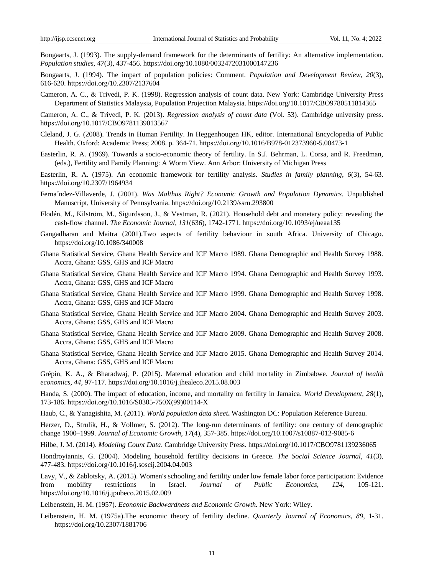Bongaarts, J. (1993). The supply-demand framework for the determinants of fertility: An alternative implementation. *Population studies*, *47*(3), 437-456. <https://doi.org/10.1080/0032472031000147236>

Bongaarts, J. (1994). The impact of population policies: Comment. *Population and Development Review*, *20*(3), 616-620. <https://doi.org/10.2307/2137604>

Cameron, A. C., & Trivedi, P. K. (1998). Regression analysis of count data. New York: Cambridge University Press Department of Statistics Malaysia, Population Projection Malaysia. <https://doi.org/10.1017/CBO9780511814365>

Cameron, A. C., & Trivedi, P. K. (2013). *Regression analysis of count data* (Vol. 53). Cambridge university press. <https://doi.org/10.1017/CBO9781139013567>

- Cleland, J. G. (2008). Trends in Human Fertility. In Heggenhougen HK, editor. International Encyclopedia of Public Health. Oxford: Academic Press; 2008. p. 364-71.<https://doi.org/10.1016/B978-012373960-5.00473-1>
- Easterlin, R. A. (1969). Towards a socio-economic theory of fertility. In S.J. Behrman, L. Corsa, and R. Freedman, (eds.), Fertility and Family Planning: A Worm View. Ann Arbor: University of Michigan Press

Easterlin, R. A. (1975). An economic framework for fertility analysis. *Studies in family planning*, *6*(3), 54-63. <https://doi.org/10.2307/1964934>

- Ferna´ndez-Villaverde, J. (2001). *Was Malthus Right? Economic Growth and Population Dynamics.* Unpublished Manuscript, University of Pennsylvania. <https://doi.org/10.2139/ssrn.293800>
- Flodén, M., Kilström, M., Sigurdsson, J., & Vestman, R. (2021). Household debt and monetary policy: revealing the cash-flow channel. *The Economic Journal*, *131*(636), 1742-1771. <https://doi.org/10.1093/ej/ueaa135>
- Gangadharan and Maitra (2001).Two aspects of fertility behaviour in south Africa. University of Chicago. <https://doi.org/10.1086/340008>
- Ghana Statistical Service, Ghana Health Service and ICF Macro 1989. Ghana Demographic and Health Survey 1988. Accra, Ghana: GSS, GHS and ICF Macro
- Ghana Statistical Service, Ghana Health Service and ICF Macro 1994. Ghana Demographic and Health Survey 1993. Accra, Ghana: GSS, GHS and ICF Macro
- Ghana Statistical Service, Ghana Health Service and ICF Macro 1999. Ghana Demographic and Health Survey 1998. Accra, Ghana: GSS, GHS and ICF Macro
- Ghana Statistical Service, Ghana Health Service and ICF Macro 2004. Ghana Demographic and Health Survey 2003. Accra, Ghana: GSS, GHS and ICF Macro
- Ghana Statistical Service, Ghana Health Service and ICF Macro 2009. Ghana Demographic and Health Survey 2008. Accra, Ghana: GSS, GHS and ICF Macro
- Ghana Statistical Service, Ghana Health Service and ICF Macro 2015. Ghana Demographic and Health Survey 2014. Accra, Ghana: GSS, GHS and ICF Macro

Grépin, K. A., & Bharadwaj, P. (2015). Maternal education and child mortality in Zimbabwe. *Journal of health economics*, *44*, 97-117. <https://doi.org/10.1016/j.jhealeco.2015.08.003>

Handa, S. (2000). The impact of education, income, and mortality on fertility in Jamaica. *World Development*, *28*(1), 173-186. [https://doi.org/10.1016/S0305-750X\(99\)00114-X](https://doi.org/10.1016/S0305-750X(99)00114-X)

Haub, C., & Yanagishita, M. (2011). *World population data sheet***.** Washington DC: Population Reference Bureau.

Herzer, D., Strulik, H., & Vollmer, S. (2012). The long-run determinants of fertility: one century of demographic change 1900–1999. *Journal of Economic Growth*, *17*(4), 357-385. <https://doi.org/10.1007/s10887-012-9085-6>

Hilbe, J. M. (2014). *Modeling Count Data*. Cambridge University Press. <https://doi.org/10.1017/CBO9781139236065>

Hondroyiannis, G. (2004). Modeling household fertility decisions in Greece. *The Social Science Journal*, *41*(3), 477-483. <https://doi.org/10.1016/j.soscij.2004.04.003>

Lavy, V., & Zablotsky, A. (2015). Women's schooling and fertility under low female labor force participation: Evidence from mobility restrictions in Israel. *Journal of Public Economics*, *124*, 105-121. <https://doi.org/10.1016/j.jpubeco.2015.02.009>

Leibenstein, H. M. (1957). *Economic Backwardness and Economic Growth.* New York: Wiley.

Leibenstein, H. M. (1975a).The economic theory of fertility decline. *Quarterly Journal of Economics, 89,* 1-31. <https://doi.org/10.2307/1881706>